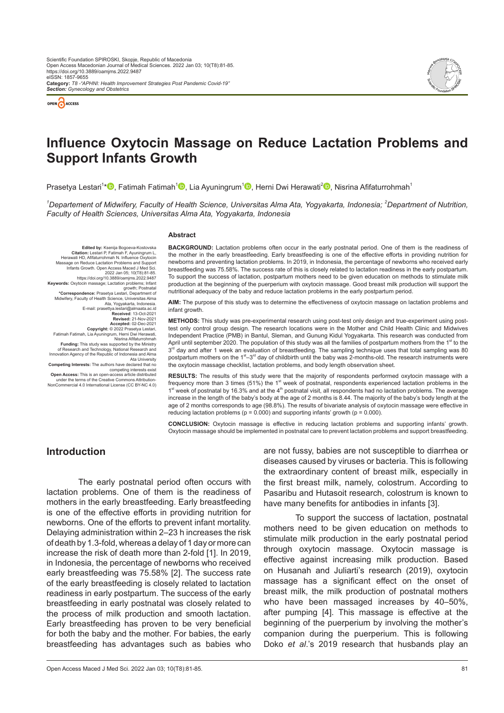



# **Influence Oxytocin Massage on Reduce Lactation Problems and Support Infants Growth**

Prasetya Lestari<sup>1</sup>[\\*](https://orcid.org/0000-0002-9313-845X)❶[,](https://orcid.org/0000-0003-3008-4404) Fatimah Fatimah<sup>1</sup>❶, Lia Ayuningrum<sup>1</sup>❶, Herni Dwi Herawati<sup>2</sup>❶, Nisrina Afifaturrohmah<sup>1</sup>

*1 Departement of Midwifery, Faculty of Health Science, Universitas Alma Ata, Yogyakarta, Indonesia; <sup>2</sup> Department of Nutrition, Faculty of Health Sciences, Universitas Alma Ata, Yogyakarta, Indonesia*

#### **Abstract**

**Edited by:** Ksenija Bogoeva-Kostovska **Citation:** Lestari P, Fatimah F, Ayuningrum L, Herawati HD, Afifaturrohmah N. Influence Oxytocin Massage on Reduce Lactation Problems and Support<br>Infants Growth. Open Access Maced J Med Sci.<br>2022 Jan 05; 10(T8):81-85.<br>https://doi.org/10.3889/oamjms.2022.9487 **Keywords:** Oxytocin massage; Lactation problems; Infant growth; Postnatal **\*Correspondence:** Prasetya Lestari, Department of Midwifery, Faculty of Health Science, Universitas Alma .Ata, Yogyakarta, Indonesia<br>E-mail: prasettya.lestari@almaata.ac.id<br>**Received**: 13-Oct-2021 **Revised:** 21-Nov-2021 Accepted. 02-Dec-2021<br>Accepted.<br>Fatimah Fatimah, Lia Ayuningrum, Hemi Dwi Herawati,<br>Funding: This study was supported by the Ministry<br>of Research and Technology, National Research and Technology, National Research and<br>Inno Ata University **Competing Interests:** The authors have declared that no

competing interests exist<br>Open Access: This is an open-access article distribution-<br>under the terms of the Creative Commons Attribution-<br>NonCommercial 4.0 International License (CC BY-NC 4.0)

**BACKGROUND:** Lactation problems often occur in the early postnatal period. One of them is the readiness of the mother in the early breastfeeding. Early breastfeeding is one of the effective efforts in providing nutrition for newborns and preventing lactation problems. In 2019, in Indonesia, the percentage of newborns who received early breastfeeding was 75.58%. The success rate of this is closely related to lactation readiness in the early postpartum. To support the success of lactation, postpartum mothers need to be given education on methods to stimulate milk production at the beginning of the puerperium with oxytocin massage. Good breast milk production will support the nutritional adequacy of the baby and reduce lactation problems in the early postpartum period.

**AIM:** The purpose of this study was to determine the effectiveness of oxytocin massage on lactation problems and infant growth.

**METHODS:** This study was pre-experimental research using post-test only design and true-experiment using posttest only control group design. The research locations were in the Mother and Child Health Clinic and Midwives Independent Practice (PMB) in Bantul, Sleman, and Gunung Kidul Yogyakarta. This research was conducted from April until september 2020. The population of this study was all the families of postpartum mothers from the 1<sup>st</sup> to the  $3<sup>rd</sup>$  day and after 1 week an evaluation of breastfeeding. The sampling technique uses that total sampling was 80 postpartum mothers on the 1<sup>st</sup>–3<sup>rd</sup> day of childbirth until the baby was 2-months-old. The research instruments were the oxytocin massage checklist, lactation problems, and body length observation sheet.

**RESULTS:** The results of this study were that the majority of respondents performed oxytocin massage with a frequency more than 3 times (51%) the 1<sup>st</sup> week of postnatal, respondents experienced lactation problems in the  $1<sup>st</sup>$  week of postnatal by 16.3% and at the  $4<sup>th</sup>$  postnatal visit, all respondents had no lactation problems. The average increase in the length of the baby's body at the age of 2 months is 8.44. The majority of the baby's body length at the age of 2 months corresponds to age (98.8%). The results of bivariate analysis of oxytocin massage were effective in reducing lactation problems ( $p = 0.000$ ) and supporting infants' growth ( $p = 0.000$ ).

**CONCLUSION:** Oxytocin massage is effective in reducing lactation problems and supporting infants' growth. Oxytocin massage should be implemented in postnatal care to prevent lactation problems and support breastfeeding.

# **Introduction**

The early postnatal period often occurs with lactation problems. One of them is the readiness of mothers in the early breastfeeding. Early breastfeeding is one of the effective efforts in providing nutrition for newborns. One of the efforts to prevent infant mortality. Delaying administration within 2–23 h increases the risk of death by 1.3-fold, whereas a delay of 1 day or more can increase the risk of death more than 2-fold [1]. In 2019, in Indonesia, the percentage of newborns who received early breastfeeding was 75.58% [2]. The success rate of the early breastfeeding is closely related to lactation readiness in early postpartum. The success of the early breastfeeding in early postnatal was closely related to the process of milk production and smooth lactation. Early breastfeeding has proven to be very beneficial for both the baby and the mother. For babies, the early breastfeeding has advantages such as babies who are not fussy, babies are not susceptible to diarrhea or diseases caused by viruses or bacteria. This is following the extraordinary content of breast milk, especially in the first breast milk, namely, colostrum. According to Pasaribu and Hutasoit research, colostrum is known to have many benefits for antibodies in infants [3].

To support the success of lactation, postnatal mothers need to be given education on methods to stimulate milk production in the early postnatal period through oxytocin massage. Oxytocin massage is effective against increasing milk production. Based on Husanah and Juliarti's research (2019), oxytocin massage has a significant effect on the onset of breast milk, the milk production of postnatal mothers who have been massaged increases by 40–50%, after pumping [4]. This massage is effective at the beginning of the puerperium by involving the mother's companion during the puerperium. This is following Doko *et al*.'s 2019 research that husbands play an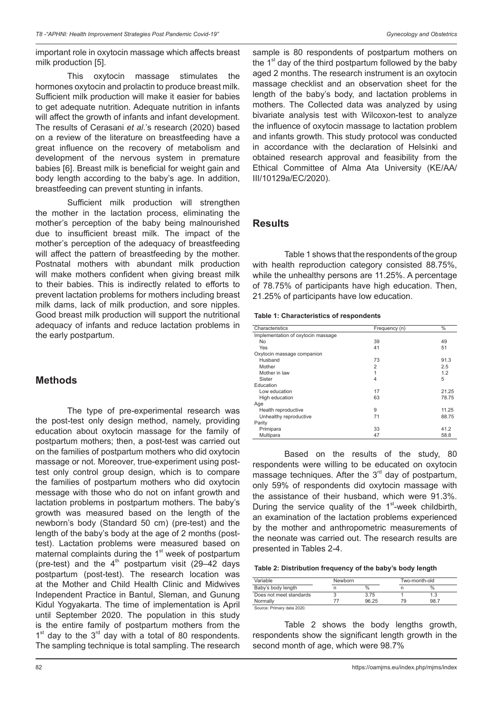important role in oxytocin massage which affects breast milk production [5].

This oxytocin massage stimulates the hormones oxytocin and prolactin to produce breast milk. Sufficient milk production will make it easier for babies to get adequate nutrition. Adequate nutrition in infants will affect the growth of infants and infant development. The results of Cerasani *et al*.'s research (2020) based on a review of the literature on breastfeeding have a great influence on the recovery of metabolism and development of the nervous system in premature babies [6]. Breast milk is beneficial for weight gain and body length according to the baby's age. In addition, breastfeeding can prevent stunting in infants.

Sufficient milk production will strengthen the mother in the lactation process, eliminating the mother's perception of the baby being malnourished due to insufficient breast milk. The impact of the mother's perception of the adequacy of breastfeeding will affect the pattern of breastfeeding by the mother. Postnatal mothers with abundant milk production will make mothers confident when giving breast milk to their babies. This is indirectly related to efforts to prevent lactation problems for mothers including breast milk dams, lack of milk production, and sore nipples. Good breast milk production will support the nutritional adequacy of infants and reduce lactation problems in the early postpartum.

# **Methods**

The type of pre-experimental research was the post-test only design method, namely, providing education about oxytocin massage for the family of postpartum mothers; then, a post-test was carried out on the families of postpartum mothers who did oxytocin massage or not. Moreover, true-experiment using posttest only control group design, which is to compare the families of postpartum mothers who did oxytocin message with those who do not on infant growth and lactation problems in postpartum mothers. The baby's growth was measured based on the length of the newborn's body (Standard 50 cm) (pre-test) and the length of the baby's body at the age of 2 months (posttest). Lactation problems were measured based on maternal complaints during the  $1<sup>st</sup>$  week of postpartum (pre-test) and the  $4<sup>th</sup>$  postpartum visit (29-42 days postpartum (post-test). The research location was at the Mother and Child Health Clinic and Midwives Independent Practice in Bantul, Sleman, and Gunung Kidul Yogyakarta. The time of implementation is April until September 2020. The population in this study is the entire family of postpartum mothers from the  $1<sup>st</sup>$  day to the  $3<sup>rd</sup>$  day with a total of 80 respondents. The sampling technique is total sampling. The research sample is 80 respondents of postpartum mothers on the  $1<sup>st</sup>$  day of the third postpartum followed by the baby aged 2 months. The research instrument is an oxytocin massage checklist and an observation sheet for the length of the baby's body, and lactation problems in mothers. The Collected data was analyzed by using bivariate analysis test with Wilcoxon-test to analyze the influence of oxytocin massage to lactation problem and infants growth. This study protocol was conducted in accordance with the declaration of Helsinki and obtained research approval and feasibility from the Ethical Committee of Alma Ata University (KE/AA/ III/10129a/EC/2020).

# **Results**

Table 1 shows that the respondents of the group with health reproduction category consisted 88.75%, while the unhealthy persons are 11.25%. A percentage of 78.75% of participants have high education. Then, 21.25% of participants have low education.

#### **Table 1: Characteristics of respondents**

| Characteristics                    | Frequency (n)  | $\%$  |
|------------------------------------|----------------|-------|
| Implementation of oxytocin massage |                |       |
| No.                                | 39             | 49    |
| Yes                                | 41             | 51    |
| Oxytocin massage companion         |                |       |
| Husband                            | 73             | 91.3  |
| Mother                             | $\overline{2}$ | 2.5   |
| Mother in law                      | 1              | 1.2   |
| Sister                             | $\overline{4}$ | 5     |
| Education                          |                |       |
| Low education                      | 17             | 21.25 |
| High education                     | 63             | 78.75 |
| Age                                |                |       |
| Health reproductive                | 9              | 11.25 |
| Unhealthy reproductive             | 71             | 88.75 |
| Parity                             |                |       |
| Primipara                          | 33             | 41.2  |
| Multipara                          | 47             | 58.8  |

Based on the results of the study, 80 respondents were willing to be educated on oxytocin massage techniques. After the 3<sup>rd</sup> day of postpartum, only 59% of respondents did oxytocin massage with the assistance of their husband, which were 91.3%. During the service quality of the  $1<sup>st</sup>$ -week childbirth, an examination of the lactation problems experienced by the mother and anthropometric measurements of the neonate was carried out. The research results are presented in Tables 2-4.

#### **Table 2: Distribution frequency of the baby's body length**

| Variable                   | Newborn |               | Two-month-old |               |  |
|----------------------------|---------|---------------|---------------|---------------|--|
| Baby's body length         |         | $\frac{0}{0}$ |               | $\frac{0}{0}$ |  |
| Does not meet standards    |         | 3.75          |               | 1.3           |  |
| Normally                   |         | 96.25         | 79            | 98.7          |  |
| Source: Primary data 2020. |         |               |               |               |  |

Table 2 shows the body lengths growth, respondents show the significant length growth in the second month of age, which were 98.7%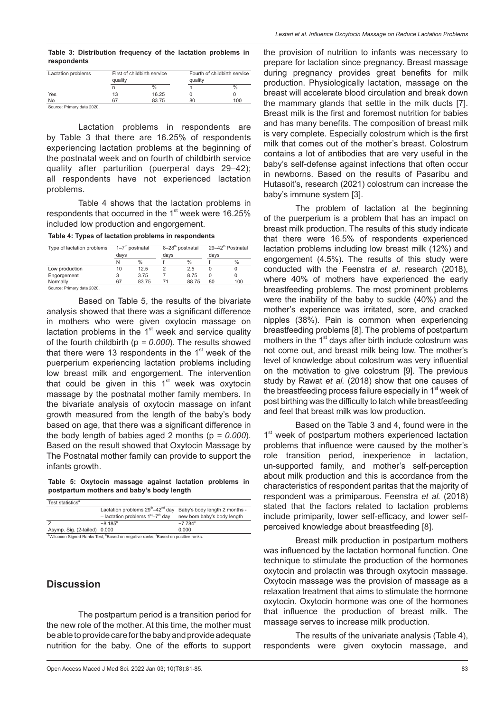**Table 3: Distribution frequency of the lactation problems in respondents**

| Lactation problems         | First of childbirth service<br>quality |               | Fourth of childbirth service<br>quality |      |
|----------------------------|----------------------------------------|---------------|-----------------------------------------|------|
|                            | n                                      | $\frac{0}{0}$ |                                         | $\%$ |
| Yes                        | 13                                     | 16.25         |                                         |      |
| No                         | 67                                     | 83.75         | 80                                      | 100  |
| Source: Primary data 2020. |                                        |               |                                         |      |

Lactation problems in respondents are by Table 3 that there are 16.25% of respondents experiencing lactation problems at the beginning of the postnatal week and on fourth of childbirth service quality after parturition (puerperal days 29–42); all respondents have not experienced lactation problems.

Table 4 shows that the lactation problems in respondents that occurred in the 1<sup>st</sup> week were 16.25% included low production and engorgement.

| Table 4: Types of lactation problems in respondents |  |  |  |
|-----------------------------------------------------|--|--|--|
|-----------------------------------------------------|--|--|--|

| $1 - 7th$ postnatal<br>Type of lactation problems<br>days |       | 8-28 <sup>th</sup> postnatal<br>davs |       | 29-42 <sup>th</sup> Postnatal<br>days |     |
|-----------------------------------------------------------|-------|--------------------------------------|-------|---------------------------------------|-----|
|                                                           |       |                                      |       |                                       |     |
| 10                                                        | 12.5  |                                      | 2.5   |                                       |     |
|                                                           | 3.75  |                                      | 8.75  | 0                                     |     |
| 67                                                        | 83.75 |                                      | 88.75 | 80                                    | 100 |
|                                                           |       |                                      |       |                                       |     |

Source: Primary data 2020.

Based on Table 5, the results of the bivariate analysis showed that there was a significant difference in mothers who were given oxytocin massage on lactation problems in the  $1<sup>st</sup>$  week and service quality of the fourth childbirth (p *= 0.000*). The results showed that there were 13 respondents in the  $1<sup>st</sup>$  week of the puerperium experiencing lactation problems including low breast milk and engorgement. The intervention that could be given in this  $1<sup>st</sup>$  week was oxytocin massage by the postnatal mother family members. In the bivariate analysis of oxytocin massage on infant growth measured from the length of the baby's body based on age, that there was a significant difference in the body length of babies aged 2 months (p *= 0.000*). Based on the result showed that Oxytocin Massage by The Postnatal mother family can provide to support the infants growth.

**Table 5: Oxytocin massage against lactation problems in postpartum mothers and baby's body length**

| Test statistics <sup>a</sup> |                                                                          |                             |
|------------------------------|--------------------------------------------------------------------------|-----------------------------|
|                              | Lactation problems $29^{th} - 42^{nd}$ day Baby's body length 2 months - |                             |
|                              | - lactation problems $1st-7th$ day                                       | new born baby's body length |
|                              | $-8.185^{\circ}$                                                         | $-7784$ <sup>c</sup>        |
| Asymp. Sig. (2-tailed) 0.000 |                                                                          | 0.000                       |

aWilcoxon Signed Ranks Test, <sup>b</sup>Based on negative ranks, <sup>c</sup>Based on positive ranks.

# **Discussion**

The postpartum period is a transition period for the new role of the mother. At this time, the mother must be able to provide care for the baby and provide adequate nutrition for the baby. One of the efforts to support the provision of nutrition to infants was necessary to prepare for lactation since pregnancy. Breast massage during pregnancy provides great benefits for milk production. Physiologically lactation, massage on the breast will accelerate blood circulation and break down the mammary glands that settle in the milk ducts [7]. Breast milk is the first and foremost nutrition for babies and has many benefits. The composition of breast milk is very complete. Especially colostrum which is the first milk that comes out of the mother's breast. Colostrum contains a lot of antibodies that are very useful in the baby's self-defense against infections that often occur in newborns. Based on the results of Pasaribu and Hutasoit's, research (2021) colostrum can increase the baby's immune system [3].

The problem of lactation at the beginning of the puerperium is a problem that has an impact on breast milk production. The results of this study indicate that there were 16.5% of respondents experienced lactation problems including low breast milk (12%) and engorgement (4.5%). The results of this study were conducted with the Feenstra *et al*. research (2018), where 40% of mothers have experienced the early breastfeeding problems. The most prominent problems were the inability of the baby to suckle (40%) and the mother's experience was irritated, sore, and cracked nipples (38%). Pain is common when experiencing breastfeeding problems [8]. The problems of postpartum mothers in the  $1<sup>st</sup>$  days after birth include colostrum was not come out, and breast milk being low. The mother's level of knowledge about colostrum was very influential on the motivation to give colostrum [9]. The previous study by Rawat *et al.* (2018) show that one causes of the breastfeeding process failure especially in 1<sup>st</sup> week of post birthing was the difficulty to latch while breastfeeding and feel that breast milk was low production.

Based on the Table 3 and 4, found were in the 1<sup>st</sup> week of postpartum mothers experienced lactation problems that influence were caused by the mother's role transition period, inexperience in lactation, un-supported family, and mother's self-perception about milk production and this is accordance from the characteristics of respondent paritas that the majority of respondent was a primiparous. Feenstra *et al.* (2018) stated that the factors related to lactation problems include primiparity, lower self-efficacy, and lower selfperceived knowledge about breastfeeding [8].

Breast milk production in postpartum mothers was influenced by the lactation hormonal function. One technique to stimulate the production of the hormones oxytocin and prolactin was through oxytocin massage. Oxytocin massage was the provision of massage as a relaxation treatment that aims to stimulate the hormone oxytocin. Oxytocin hormone was one of the hormones that influence the production of breast milk. The massage serves to increase milk production.

The results of the univariate analysis (Table 4), respondents were given oxytocin massage, and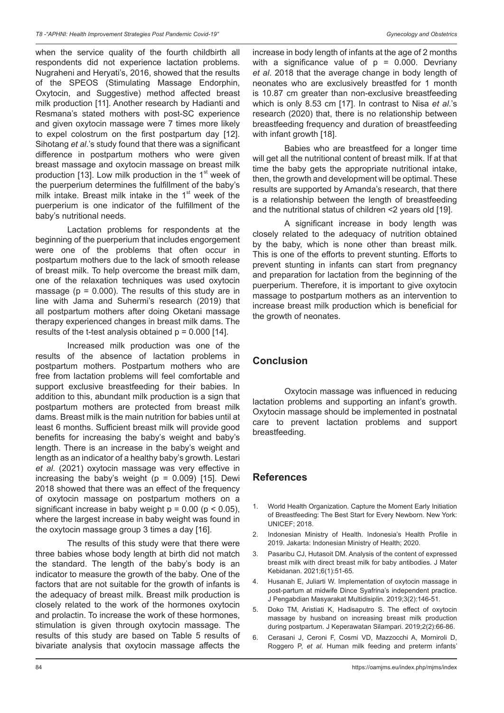when the service quality of the fourth childbirth all respondents did not experience lactation problems. Nugraheni and Heryati's, 2016, showed that the results of the SPEOS (Stimulating Massage Endorphin, Oxytocin, and Suggestive) method affected breast milk production [11]. Another research by Hadianti and Resmana's stated mothers with post-SC experience and given oxytocin massage were 7 times more likely to expel colostrum on the first postpartum day [12]. Sihotang *et al*.'s study found that there was a significant difference in postpartum mothers who were given breast massage and oxytocin massage on breast milk production [13]. Low milk production in the  $1<sup>st</sup>$  week of the puerperium determines the fulfillment of the baby's milk intake. Breast milk intake in the  $1<sup>st</sup>$  week of the puerperium is one indicator of the fulfillment of the baby's nutritional needs.

Lactation problems for respondents at the beginning of the puerperium that includes engorgement were one of the problems that often occur in postpartum mothers due to the lack of smooth release of breast milk. To help overcome the breast milk dam, one of the relaxation techniques was used oxytocin massage ( $p = 0.000$ ). The results of this study are in line with Jama and Suhermi's research (2019) that all postpartum mothers after doing Oketani massage therapy experienced changes in breast milk dams. The results of the t-test analysis obtained  $p = 0.000$  [14].

Increased milk production was one of the results of the absence of lactation problems in postpartum mothers. Postpartum mothers who are free from lactation problems will feel comfortable and support exclusive breastfeeding for their babies. In addition to this, abundant milk production is a sign that postpartum mothers are protected from breast milk dams. Breast milk is the main nutrition for babies until at least 6 months. Sufficient breast milk will provide good benefits for increasing the baby's weight and baby's length. There is an increase in the baby's weight and length as an indicator of a healthy baby's growth. Lestari *et al*. (2021) oxytocin massage was very effective in increasing the baby's weight ( $p = 0.009$ ) [15]. Dewi 2018 showed that there was an effect of the frequency of oxytocin massage on postpartum mothers on a significant increase in baby weight  $p = 0.00$  ( $p < 0.05$ ), where the largest increase in baby weight was found in the oxytocin massage group 3 times a day [16].

The results of this study were that there were three babies whose body length at birth did not match the standard. The length of the baby's body is an indicator to measure the growth of the baby. One of the factors that are not suitable for the growth of infants is the adequacy of breast milk. Breast milk production is closely related to the work of the hormones oxytocin and prolactin. To increase the work of these hormones, stimulation is given through oxytocin massage. The results of this study are based on Table 5 results of bivariate analysis that oxytocin massage affects the increase in body length of infants at the age of 2 months with a significance value of  $p = 0.000$ . Devriany *et al*. 2018 that the average change in body length of neonates who are exclusively breastfed for 1 month is 10.87 cm greater than non-exclusive breastfeeding which is only 8.53 cm [17]. In contrast to Nisa *et al*.'s research (2020) that, there is no relationship between breastfeeding frequency and duration of breastfeeding with infant growth [18].

Babies who are breastfeed for a longer time will get all the nutritional content of breast milk. If at that time the baby gets the appropriate nutritional intake, then, the growth and development will be optimal. These results are supported by Amanda's research, that there is a relationship between the length of breastfeeding and the nutritional status of children <2 years old [19].

A significant increase in body length was closely related to the adequacy of nutrition obtained by the baby, which is none other than breast milk. This is one of the efforts to prevent stunting. Efforts to prevent stunting in infants can start from pregnancy and preparation for lactation from the beginning of the puerperium. Therefore, it is important to give oxytocin massage to postpartum mothers as an intervention to increase breast milk production which is beneficial for the growth of neonates.

# **Conclusion**

Oxytocin massage was influenced in reducing lactation problems and supporting an infant's growth. Oxytocin massage should be implemented in postnatal care to prevent lactation problems and support breastfeeding.

# **References**

- 1. World Health Organization. Capture the Moment Early Initiation of Breastfeeding: The Best Start for Every Newborn. New York: UNICEF; 2018.
- 2. Indonesian Ministry of Health. Indonesia's Health Profile in 2019. Jakarta: Indonesian Ministry of Health; 2020.
- 3. Pasaribu CJ, Hutasoit DM. Analysis of the content of expressed breast milk with direct breast milk for baby antibodies. J Mater Kebidanan. 2021;6(1):51-65.
- 4. Husanah E, Juliarti W. Implementation of oxytocin massage in post-partum at midwife Dince Syafrina's independent practice. J Pengabdian Masyarakat Multidisiplin. 2019;3(2):146-51.
- 5. Doko TM, Aristiati K, Hadisaputro S. The effect of oxytocin massage by husband on increasing breast milk production during postpartum. J Keperawatan Silampari. 2019;2(2):66-86.
- 6. Cerasani J, Ceroni F, Cosmi VD, Mazzocchi A, Morniroli D, Roggero P, *et al*. Human milk feeding and preterm infants'